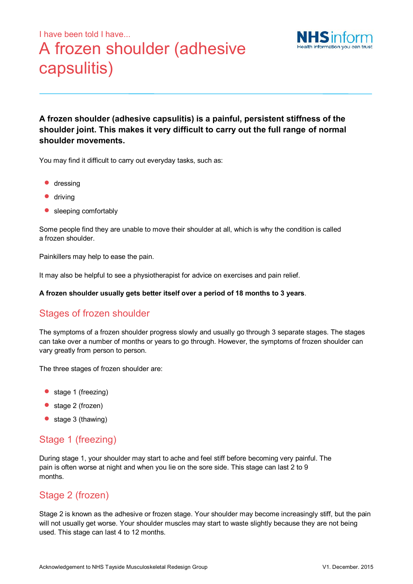# I have been told I have... A frozen shoulder (adhesive capsulitis)



**A frozen shoulder (adhesive capsulitis) is a painful, persistent stiffness of the shoulder joint. This makes it very difficult to carry out the full range of normal shoulder movements.** 

You may find it difficult to carry out everyday tasks, such as:

- **•** dressing
- **•** driving
- sleeping comfortably

Some people find they are unable to move their shoulder at all, which is why the condition is called a frozen shoulder.

Painkillers may help to ease the pain.

It may also be helpful to see a physiotherapist for advice on exercises and pain relief.

**A frozen shoulder usually gets better itself over a period of 18 months to 3 years**.

# Stages of frozen shoulder

The symptoms of a frozen shoulder progress slowly and usually go through 3 separate stages. The stages can take over a number of months or years to go through. However, the symptoms of frozen shoulder can vary greatly from person to person.

The three stages of frozen shoulder are:

- stage 1 (freezing)
- stage 2 (frozen)
- stage 3 (thawing)

#### Stage 1 (freezing)

During stage 1, your shoulder may start to ache and feel stiff before becoming very painful. The pain is often worse at night and when you lie on the sore side. This stage can last 2 to 9 months.

# Stage 2 (frozen)

Stage 2 is known as the adhesive or frozen stage. Your shoulder may become increasingly stiff, but the pain will not usually get worse. Your shoulder muscles may start to waste slightly because they are not being used. This stage can last 4 to 12 months.